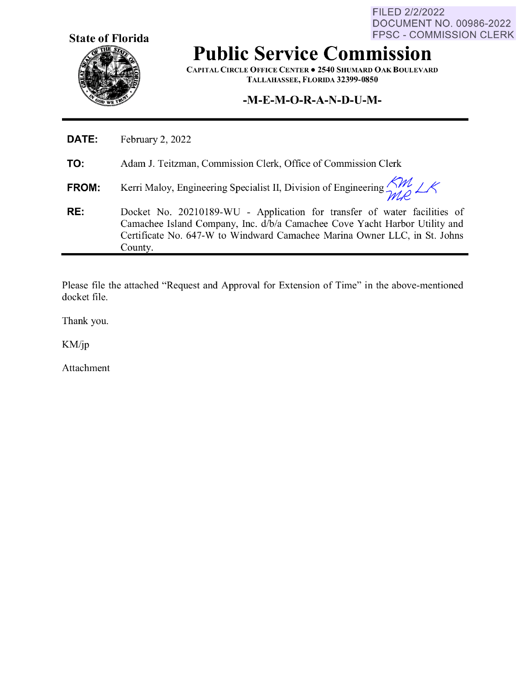**State of Florida** 

FILED 2/2/2022 DOCUMENT NO. 00986-2022 FPSC - COMMISSION CLERK

## **Public Service Commission**

**CAPITAL CIRCLE OFFICE CENTER• 2540 SHUMARD OAK BOULEVARD TALLAHASSEE, FLORIDA 32399-0850** 

## **-M-E-M-O-R-A-N-D-U-M-**

| RE:   | Docket No. 20210189-WU - Application for transfer of water facilities of<br>Camachee Island Company, Inc. d/b/a Camachee Cove Yacht Harbor Utility and<br>Certificate No. 647-W to Windward Camachee Marina Owner LLC, in St. Johns<br>County. |
|-------|------------------------------------------------------------------------------------------------------------------------------------------------------------------------------------------------------------------------------------------------|
| FROM: | Kerri Maloy, Engineering Specialist II, Division of Engineering $\frac{GM}{2d\theta}\angle A$                                                                                                                                                  |
| TO:   | Adam J. Teitzman, Commission Clerk, Office of Commission Clerk                                                                                                                                                                                 |
| DATE: | February 2, 2022                                                                                                                                                                                                                               |

Please file the attached "Request and Approval for Extension of Time" in the above-mentioned docket file.

Thank you.

KM/jp

Ĺ

Attachment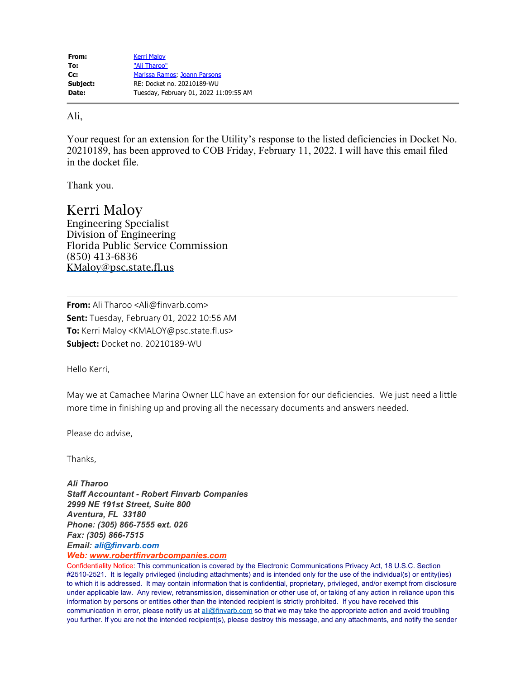## Ali,

Your request for an extension for the Utility's response to the listed deficiencies in Docket No. 20210189, has been approved to COB Friday, February 11, 2022. I will have this email filed in the docket file.

Thank you.

Kerri Maloy Engineering Specialist Division of Engineering Florida Public Service Commission (850) 413-6836 [KMaloy@psc.state.fl.us](mailto:KMaloy@psc.state.fl.us)

**From:** Ali Tharoo <Ali@finvarb.com> **Sent:** Tuesday, February 01, 2022 10:56 AM **To:** Kerri Maloy <KMALOY@psc.state.fl.us> **Subject:** Docket no. 20210189-WU

Hello Kerri,

May we at Camachee Marina Owner LLC have an extension for our deficiencies. We just need a little more time in finishing up and proving all the necessary documents and answers needed.

Please do advise,

Thanks,

*Ali Tharoo Staff Accountant - Robert Finvarb Companies 2999 NE 191st Street, Suite 800 Aventura, FL 33180 Phone: (305) 866-7555 ext. 026 Fax: (305) 866-7515 Email: [ali@finvarb.com](mailto:ali@finvarb.com)*

*Web: [www.robertfinvarbcompanies.com](http://www.robertfinvarbcompanies.com/)*

Confidentiality Notice: This communication is covered by the Electronic Communications Privacy Act, 18 U.S.C. Section #2510-2521. It is legally privileged (including attachments) and is intended only for the use of the individual(s) or entity(ies) to which it is addressed. It may contain information that is confidential, proprietary, privileged, and/or exempt from disclosure under applicable law. Any review, retransmission, dissemination or other use of, or taking of any action in reliance upon this information by persons or entities other than the intended recipient is strictly prohibited. If you have received this communication in error, please notify us at [ali@finvarb.com](mailto:ali@finvarb.com) so that we may take the appropriate action and avoid troubling you further. If you are not the intended recipient(s), please destroy this message, and any attachments, and notify the sender